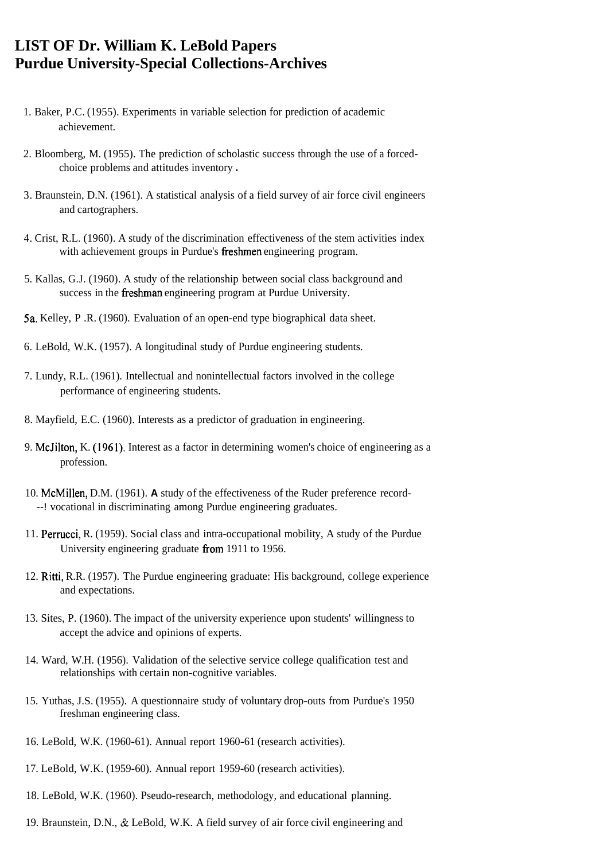## **LIST OF Dr. William K. LeBold Papers Purdue University-Special Collections-Archives**

- 1. Baker, P.C. (1955). Experiments in variable selection for prediction of academic achievement.
- 2. Bloomberg, M. (1955). The prediction of scholastic success through the use of a forcedchoice problems and attitudes inventory .
- 3. Braunstein, D.N. (1961). A statistical analysis of a field survey of air force civil engineers and cartographers.
- 4. Crist, R.L. (1960). A study of the discrimination effectiveness of the stem activities index with achievement groups in Purdue's freshmen engineering program.
- 5. Kallas, G.J. (1960). A study of the relationship between social class background and success in the freshman engineering program at Purdue University.
- 5a. Kelley, P .R. (1960). Evaluation of an open-end type biographical data sheet.
- 6. LeBold, W.K. (1957). A longitudinal study of Purdue engineering students.
- 7. Lundy, R.L. (1961). Intellectual and nonintellectual factors involved in the college performance of engineering students.
- 8. Mayfield, E.C. (1960). Interests as a predictor of graduation in engineering.
- 9. McJilton, K. (1961). Interest as a factor in determining women's choice of engineering as a profession.
- 10. McMillen, D.M. (1961). **A** study of the effectiveness of the Ruder preference record- --! vocational in discriminating among Purdue engineering graduates.
- 11. Perrucci, R. (1959). Social class and intra-occupational mobility, A study of the Purdue University engineering graduate from 1911 to 1956.
- 12. Ritti, R.R. (1957). The Purdue engineering graduate: His background, college experience and expectations.
- 13. Sites, P. (1960). The impact of the university experience upon students' willingness to accept the advice and opinions of experts.
- 14. Ward, W.H. (1956). Validation of the selective service college qualification test and relationships with certain non-cognitive variables.
- 15. Yuthas, J.S. (1955). A questionnaire study of voluntary drop-outs from Purdue's 1950 freshman engineering class.
- 16. LeBold, W.K. (1960-61). Annual report 1960-61 (research activities).
- 17. LeBold, W.K. (1959-60). Annual report 1959-60 (research activities).
- 18. LeBold, W.K. (1960). Pseudo-research, methodology, and educational planning.
- 19. Braunstein, D.N., & LeBold, W.K. A field survey of air force civil engineering and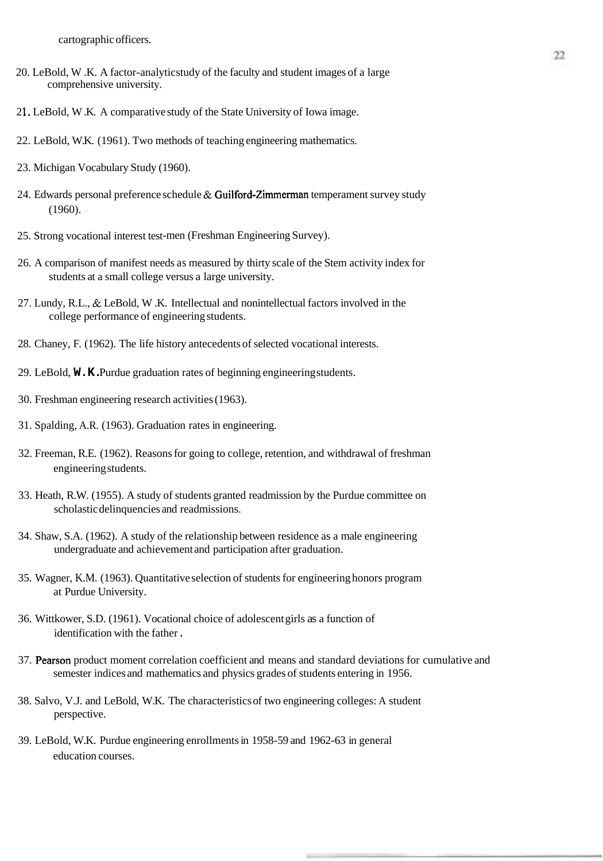cartographic officers.

- 20. LeBold, W.K. A factor-analytic study of the faculty and student images of a large comprehensive university.
- 2 1. LeBold, W .K. A comparative study of the State University of Iowa image.
- 22. LeBold, W.K. (1961). Two methods of teaching engineering mathematics.
- 23. Michigan Vocabulary Study (1960).
- 24. Edwards personal preference schedule  $\&$  Guilford-Zimmerman temperament survey study (1960).
- 25. Strong vocational interest test-men (Freshman Engineering Survey).
- 26. A comparison of manifest needs as measured by thirty scale of the Stem activity index for students at a small college versus a large university.
- 27. Lundy, R.L., & LeBold, W .K. Intellectual and nonintellectual factors involved in the college performance of engineering students.
- 28. Chaney, F. (1962). The life history antecedents of selected vocational interests.
- 29. LeBold, **W.K.** Purdue graduation rates of beginning engineering students.
- 30. Freshman engineering research activities (1963).
- 3 1. Spalding, A.R. (1963). Graduation rates in engineering.
- 32. Freeman, R.E. (1962). Reasons for going to college, retention, and withdrawal of freshman engineering students.
- 33. Heath, R.W. (1955). A study of students granted readmission by the Purdue committee on scholastic delinquencies and readmissions.
- 34. Shaw, S.A. (1962). A study of the relationship between residence as a male engineering undergraduate and achievement and participation after graduation.
- 35. Wagner, K.M. (1963). Quantitative selection of students for engineering honors program at Purdue University.
- 36. Wittkower, S.D. (1961). Vocational choice of adolescent girls as a function of identification with the father .
- 37. Pearson product moment correlation coefficient and means and standard deviations for cumulative and semester indices and mathematics and physics grades of students entering in 1956.
- 38. Salvo, V.J. and LeBold, W.K. The characteristics of two engineering colleges: A student perspective.
- 39. LeBold, W.K. Purdue engineering enrollments in 1958-59 and 1962-63 in general education courses.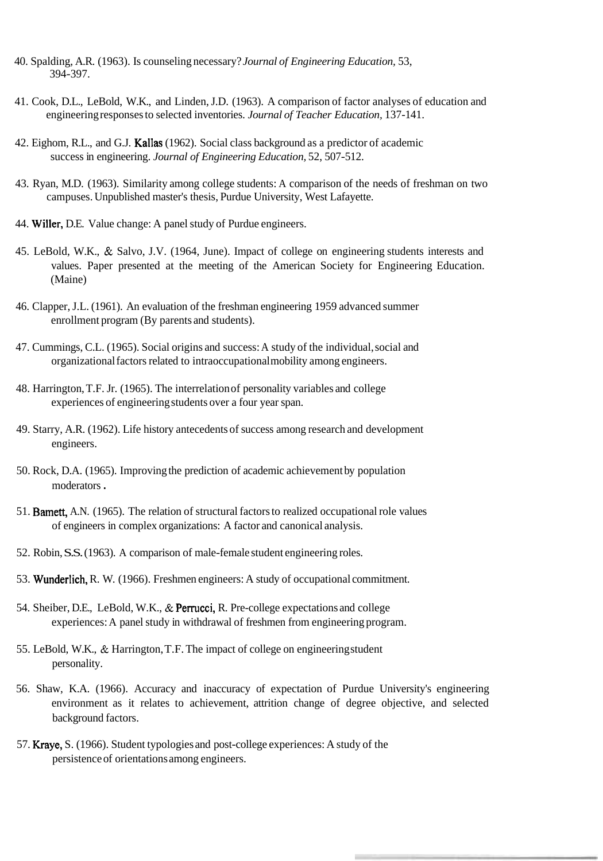- 40. Spalding, A.R. (1963). Is counseling necessary? *Journal of Engineering Education,* 53, 394-397.
- 41. Cook, D.L., LeBold, W.K., and Linden, J.D. (1963). A comparison of factor analyses of education and engineering responses to selected inventories. *Journal of Teacher Education*, 137-141.
- 42. Eighom, R.L., and G.J. Kallas (1962). Social class background as a predictor of academic success in engineering. *Journal of Engineering Education*, 52, 507-512.
- 43. Ryan, M.D. (1963). Similarity among college students: A comparison of the needs of freshman on two campuses. Unpublished master's thesis, Purdue University, West Lafayette.
- 44. Willer, D.E. Value change: A panel study of Purdue engineers.
- 45. LeBold, W.K., & Salvo, J.V. (1964, June). Impact of college on engineering students interests and values. Paper presented at the meeting of the American Society for Engineering Education. (Maine)
- 46. Clapper, J.L. (1961). An evaluation of the freshman engineering 1959 advanced summer enrollment program (By parents and students).
- 47. Cummings, C.L. (1965). Social origins and success: A study of the individual, social and organizational factors related to intraoccupational mobility among engineers.
- 48. Harrington, T.F. Jr. (1965). The interrelation of personality variables and college experiences of engineering students over a four year span.
- 49. Starry, A.R. (1962). Life history antecedents of success among research and development engineers.
- 50. Rock, D.A. (1965). Improving the prediction of academic achievement by population moderators .
- 51. Barnett, A.N. (1965). The relation of structural factors to realized occupational role values of engineers in complex organizations: A factor and canonical analysis.
- 52. Robin, S.S. (1963). A comparison of male-female student engineering roles.
- 53. Wunderlich, R. W. (1966). Freshmen engineers: A study of occupational commitment.
- 54. Sheiber, D.E., LeBold, W.K., & Permcci, R. Pre-college expectations and college experiences: A panel study in withdrawal of freshmen from engineering program.
- 55. LeBold, W.K., & Harrington, T.F. The impact of college on engineering student personality.
- 56. Shaw, K.A. (1966). Accuracy and inaccuracy of expectation of Purdue University's engineering environment as it relates to achievement, attrition change of degree objective, and selected background factors.
- 57. Kraye, S. (1966). Student typologies and post-college experiences: A study of the persistence of orientations among engineers.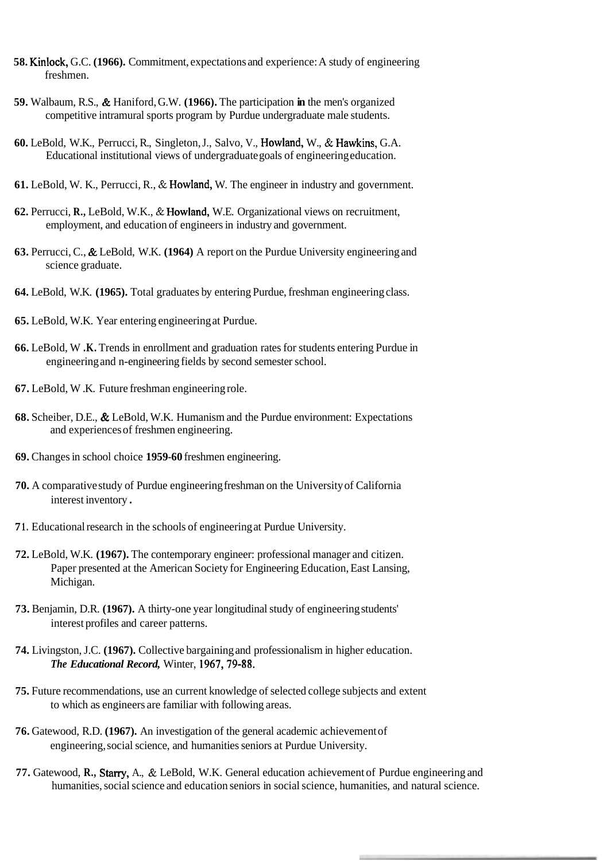- **58.** Kinlock, G.C. **(1966).** Commitment, expectations and experience: A study of engineering freshmen.
- **59.** Walbaum, R.S., & Haniford, G.W. **(1966).** The participation **in** the men's organized competitive intramural sports program by Purdue undergraduate male students.
- **60.** LeBold, W.K., Perrucci, R., Singleton, J., Salvo, V., Howland, W., & Hawkins, G.A. Educational institutional views of undergraduate goals of engineering education.
- **61.** LeBold, W. K., Perrucci, R., & Howland, W. The engineer in industry and government.
- **62.** Perrucci, **R.,** LeBold, W.K., & Howland, W.E. Organizational views on recruitment, employment, and education of engineers in industry and government.
- **63.** Perrucci, C., & LeBold, W.K. **(1964)** A report on the Purdue University engineering and science graduate.
- **64.** LeBold, W.K. **(1965).** Total graduates by entering Purdue, freshman engineering class.
- **65.** LeBold, W.K. Year entering engineering at Purdue.
- **66.** LeBold, W **.K.** Trends in enrollment and graduation rates for students entering Purdue in engineering and n-engineering fields by second semester school.
- **67.** LeBold, W .K. Future freshman engineering role.
- **68.** Scheiber, D.E., & LeBold, W.K. Humanism and the Purdue environment: Expectations and experiences of freshmen engineering.
- **69.** Changes in school choice **1959-60** freshmen engineering.
- **70.** A comparative study of Purdue engineering freshman on the University of California interest inventory .
- **7 1.** Educational research in the schools of engineering at Purdue University.
- **72.** LeBold, W.K. **(1967).** The contemporary engineer: professional manager and citizen. Paper presented at the American Society for Engineering Education, East Lansing, Michigan.
- **73.** Benjamin, D.R. **(1967).** A thirty-one year longitudinal study of engineering students' interest profiles and career patterns.
- **74.** Livingston, J.C. **(1967).** Collective bargaining and professionalism in higher education. *The Educational Record,* Winter, **1967,79-88.**
- **75.** Future recommendations, use an current knowledge of selected college subjects and extent to which as engineers are familiar with following areas.
- **76.** Gatewood, R.D. **(1967).** An investigation of the general academic achievement of engineering, social science, and humanities seniors at Purdue University.
- **77.** Gatewood, **R.,** Stany, A., & LeBold, W.K. General education achievement of Purdue engineering and humanities, social science and education seniors in social science, humanities, and natural science.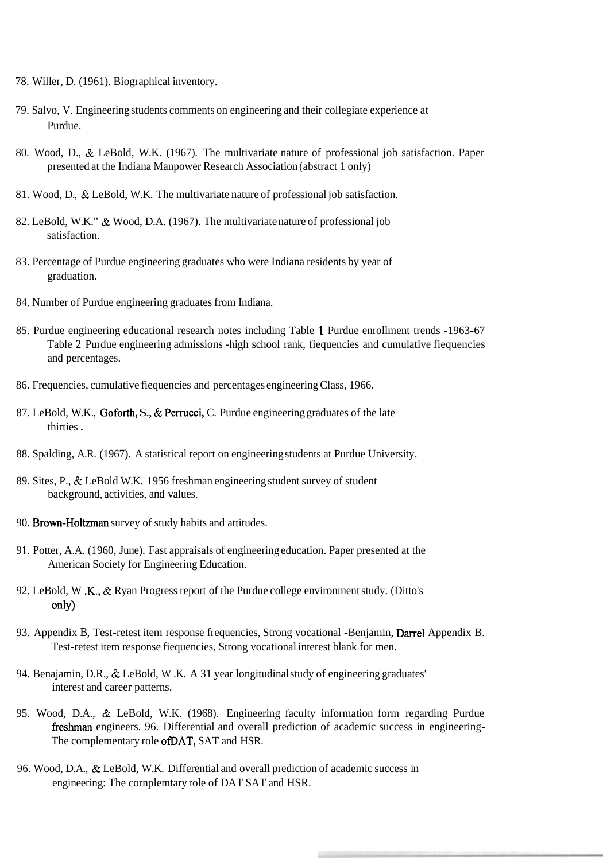- 78. Willer, D. (1961). Biographical inventory.
- 79. Salvo, V. Engineering students comments on engineering and their collegiate experience at Purdue.
- 80. Wood, D., & LeBold, W.K. (1967). The multivariate nature of professional job satisfaction. Paper presented at the Indiana Manpower Research Association (abstract 1 only)
- 81. Wood, D., & LeBold, W.K. The multivariate nature of professional job satisfaction.
- 82. LeBold, W.K." & Wood, D.A. (1967). The multivariate nature of professional job satisfaction.
- 83. Percentage of Purdue engineering graduates who were Indiana residents by year of graduation.
- 84. Number of Purdue engineering graduates from Indiana.
- 85. Purdue engineering educational research notes including Table 1 Purdue enrollment trends -1963-67 Table 2 Purdue engineering admissions -high school rank, fiequencies and cumulative fiequencies and percentages.
- 86. Frequencies, cumulative fiequencies and percentages engineering Class, 1966.
- 87. LeBold, W.K., Goforth, S., & Perrucci, C. Purdue engineering graduates of the late thirties .
- 88. Spalding, A.R. (1967). A statistical report on engineering students at Purdue University.
- 89. Sites, P., & LeBold W.K. 1956 freshman engineering student survey of student background, activities, and values.
- 90. Brown-Holtzman survey of study habits and attitudes.
- 9 1. Potter, A.A. (1 960, June). Fast appraisals of engineering education. Paper presented at the American Society for Engineering Education.
- 92. LeBold, W .K., & Ryan Progress report of the Purdue college environment study. (Ditto's only)
- 93. Appendix B, Test-retest item response frequencies, Strong vocational -Benjamin, Darrel Appendix B. Test-retest item response fiequencies, Strong vocational interest blank for men.
- 94. Benajamin, D.R., & LeBold, W .K. A 3 1 year longitudinal study of engineering graduates' interest and career patterns.
- 95. Wood, D.A., & LeBold, W.K. (1968). Engineering faculty information form regarding Purdue fieshman engineers. 96. Differential and overall prediction of academic success in engineering-The complementary role ofDAT, SAT and HSR.
- 96. Wood, D.A., & LeBold, W.K. Differential and overall prediction of academic success in engineering: The cornplemtary role of DAT SAT and HSR.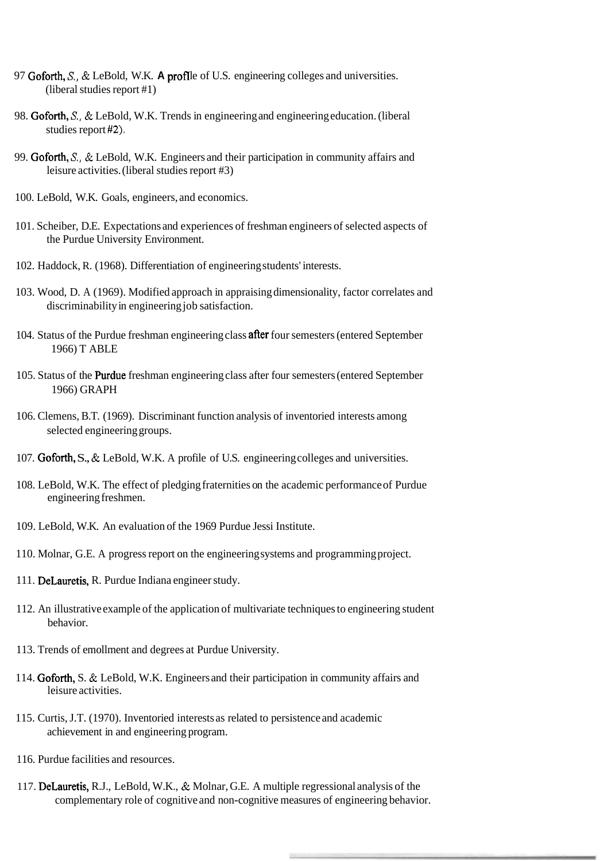- 97 Goforth, *S.*, & LeBold, W.K. **A profile** of U.S. engineering colleges and universities. (liberal studies report #1)
- 98. Goforth, *S.,* & LeBold, W.K. Trends in engineering and engineering education. (liberal studies report **#2).**
- 99. Goforth, *S.,* & LeBold, W.K. Engineers and their participation in community affairs and leisure activities. (liberal studies report #3)
- 100. LeBold, W.K. Goals, engineers, and economics.
- 101. Scheiber, D.E. Expectations and experiences of freshman engineers of selected aspects of the Purdue University Environment.
- 102. Haddock, R. (1968). Differentiation of engineering students' interests.
- 103. Wood, D. A (1969). Modified approach in appraising dimensionality, factor correlates and discriminability in engineering job satisfaction.
- 104. Status of the Purdue freshman engineering class **after** four semesters (entered September 1966) T ABLE
- 105. Status of the FWdue freshman engineering class after four semesters (entered September 1966) GRAPH
- 106. Clemens, B.T. (1969). Discriminant function analysis of inventoried interests among selected engineering groups.
- 107. Goforth, S., & LeBold, W.K. A profile of U.S. engineering colleges and universities.
- 108. LeBold, W.K. The effect of pledging fraternities on the academic performance of Purdue engineering freshmen.
- 109. LeBold, W.K. An evaluation of the 1969 Purdue Jessi Institute.
- 110. Molnar, G.E. A progress report on the engineering systems and programming project.
- 111. DeLauretis, R. Purdue Indiana engineer study.
- 112. An illustrative example of the application of multivariate techniques to engineering student behavior.
- 113. Trends of emollment and degrees at Purdue University.
- 114. Goforth, S. & LeBold, W.K. Engineers and their participation in community affairs and leisure activities.
- 1 15. Curtis, J.T. (1970). Inventoried interests as related to persistence and academic achievement in and engineering program.
- 116. Purdue facilities and resources.
- 117. DeLauretis, R.J., LeBold, W.K., & Molnar, G.E. A multiple regressional analysis of the complementary role of cognitive and non-cognitive measures of engineering behavior.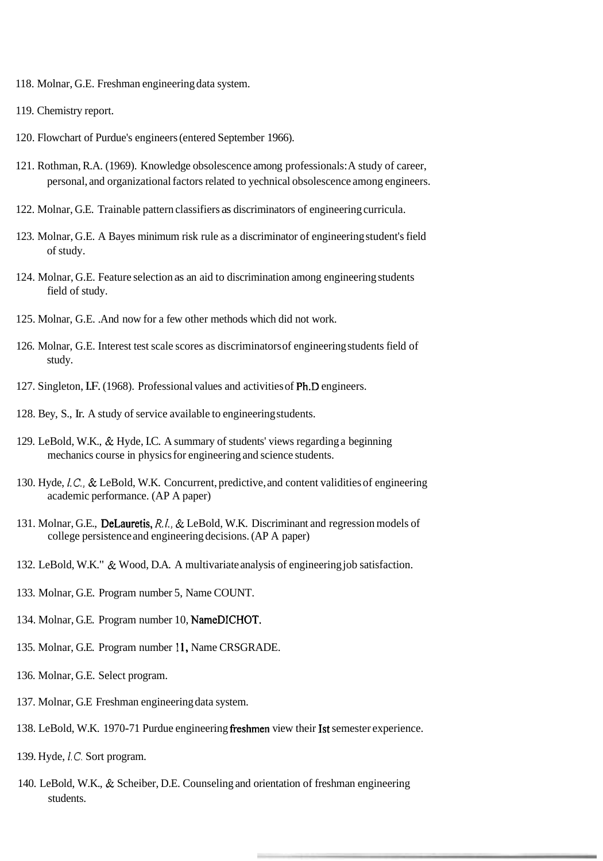- 118. Molnar, G.E. Freshman engineering data system.
- 1 19. Chemistry report.
- 120. Flowchart of Purdue's engineers (entered September 1966).
- 121. Rothman, R.A. (1969). Knowledge obsolescence among professionals: A study of career, personal, and organizational factors related to yechnical obsolescence among engineers.
- 122. Molnar, G.E. Trainable pattern classifiers as discriminators of engineering curricula.
- 123. Molnar, G.E. A Bayes minimum risk rule as a discriminator of engineering student's field of study.
- 124. Molnar, G.E. Feature selection as an aid to discrimination among engineering students field of study.
- 125. Molnar, G.E. .And now for a few other methods which did not work.
- 126. Molnar, G.E. Interest test scale scores as discriminators of engineering students field of study.
- 127. Singleton, I.F. (1968). Professional values and activities of Ph.D engineers.
- 128. Bey, S., Ir. A study of service available to engineering students.
- 129. LeBold, W.K., & Hyde, I.C. A summary of students' views regarding a beginning mechanics course in physics for engineering and science students.
- 130. Hyde, *I.C.,* & LeBold, W.K. Concurrent, predictive, and content validities of engineering academic performance. (AP A paper)
- 13 1. Molnar, G.E., DeLauretis, *R.I.,* & LeBold, W.K. Discriminant and regression models of college persistence and engineering decisions. (AP A paper)
- 132. LeBold, W.K." & Wood, D.A. A multivariate analysis of engineering job satisfaction.
- 133. Molnar, G.E. Program number 5, Name COUNT.
- 134. Molnar, G.E. Program number 10, NameDICHOT.
- 135. Molnar, G.E. Program number **1** 1, Name CRSGRADE.
- 136. Molnar, G.E. Select program.
- 137. Molnar, G.E Freshman engineering data system.
- 138. LeBold, W.K. 1970-71 Purdue engineering fieshmen view their 1st semester experience.
- 139. Hyde, **1.C.** Sort program.
- 140. LeBold, W.K., & Scheiber, D.E. Counseling and orientation of freshman engineering students.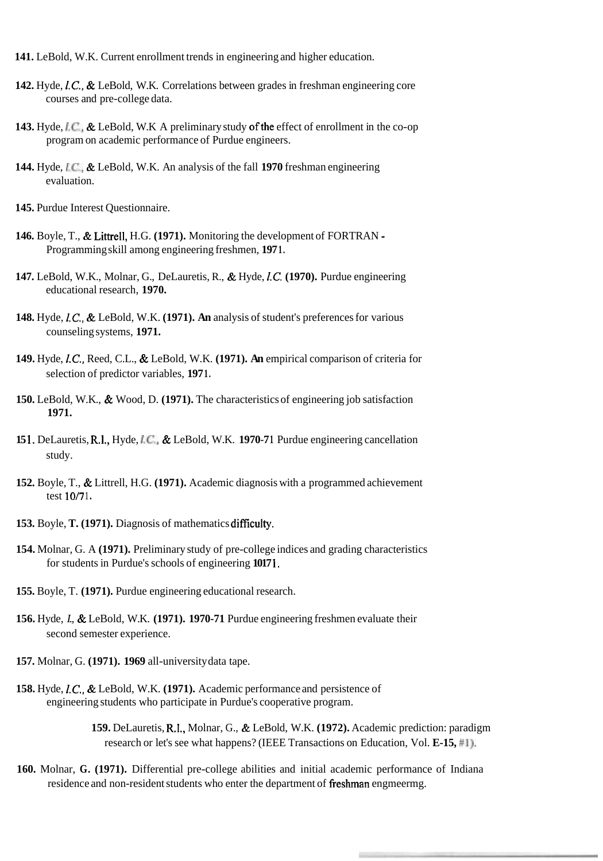- **141.** LeBold, W.K. Current enrollment trends in engineering and higher education.
- **142.** Hyde, *I.C.,* & LeBold, W.K. Correlations between grades in freshman engineering core courses and pre-college data.
- **143.** Hyde, *LC.*, & LeBold, W.K. A preliminary study of the effect of enrollment in the co-op program on academic performance of Purdue engineers.
- **144.** Hyde, *LC.,* & LeBold, W.K. An analysis of the fall **1970** freshman engineering evaluation.
- **145.** Purdue Interest Questionnaire.
- **146.** Boyle, T., & Littrell, H.G. **(1971).** Monitoring the development of FORTRAN Programming skill among engineering freshmen, **197 1.**
- **147.** LeBold, W.K., Molnar, G., DeLauretis, R., & Hyde, *1.C.* **(1970).** Purdue engineering educational research, **1970.**
- **148.** Hyde, *I.C.,* & LeBold, W.K. **(1971). An** analysis of student's preferences for various counseling systems, **1971.**
- **149.** Hyde, *I.C.,* Reed, C.L., & LeBold, W.K. **(1971). An** empirical comparison of criteria for selection of predictor variables, **197 1.**
- **150.** LeBold, W.K., & Wood, D. **(1971).** The characteristics of engineering job satisfaction **1971.**
- **15 1.** DeLauretis, R.I., Hyde, *LC.,* & LeBold, W.K. **1970-7 1** Purdue engineering cancellation study.
- **152.** Boyle, T., & Littrell, H.G. **(1971).** Academic diagnosis with a programmed achievement test  $10/71$ .
- **153.** Boyle, **T. (1971).** Diagnosis of mathematics difficulty.
- **154.** Molnar, G. A **(1971).** Preliminary study of pre-college indices and grading characteristics for students in Purdue's schools of engineering **1017 1.**
- **155.** Boyle, T. **(1971).** Purdue engineering educational research.
- **156.** Hyde, *I.,* & LeBold, W.K. **(1971). 1970-71** Purdue engineering freshmen evaluate their second semester experience.
- **157.** Molnar, G. **(1971). 1969** all-university data tape.
- **158.** Hyde, *I.C.,* & LeBold, W.K. **(1971).** Academic performance and persistence of engineering students who participate in Purdue's cooperative program.
	- **159.** DeLauretis, R.I., Molnar, G., & LeBold, W.K. **(1972).** Academic prediction: paradigm research or let's see what happens? (IEEE Transactions on Education, Vol. **E-15, #I).**
- **160.** Molnar, **G. (1971).** Differential pre-college abilities and initial academic performance of Indiana residence and non-resident students who enter the department of freshman engmeermg.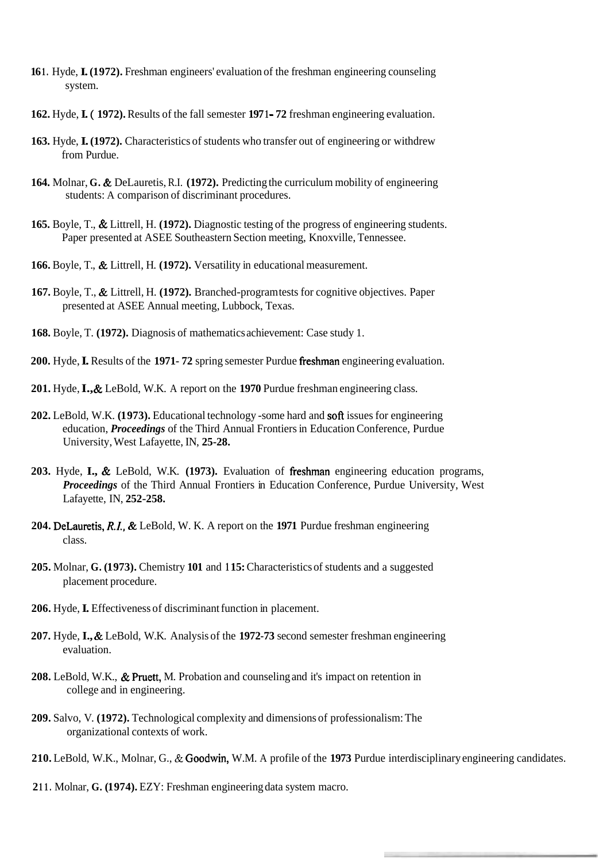- 161. Hyde, **L** (1972). Freshman engineers' evaluation of the freshman engineering counseling system.
- **162.** Hyde, **I.** ( **1972).** Results of the fall semester **197 1 72** freshman engineering evaluation.
- **163.** Hyde, **I. (1972).** Characteristics of students who transfer out of engineering or withdrew from Purdue.
- **164.** Molnar, **G.** & DeLauretis, R.I. **(1972).** Predicting the curriculum mobility of engineering students: A comparison of discriminant procedures.
- **165.** Boyle, T., & Littrell, H. **(1972).** Diagnostic testing of the progress of engineering students. Paper presented at ASEE Southeastern Section meeting, Knoxville, Tennessee.
- **166.** Boyle, T., & Littrell, H. **(1972).** Versatility in educational measurement.
- **167.** Boyle, T., & Littrell, H. **(1972).** Branched-program tests for cognitive objectives. Paper presented at ASEE Annual meeting, Lubbock, Texas.
- **168.** Boyle, T. **(1972).** Diagnosis of mathematics achievement: Case study 1.
- **200.** Hyde, **I.** Results of the **1971- 72** spring semester Purdue freshman engineering evaluation.
- **201.** Hyde, **I.,** & LeBold, W.K. A report on the **1970** Purdue freshman engineering class.
- **202.** LeBold, W.K. **(1 973).** Educational technology -some hard and soft issues for engineering education, *Proceedings* of the Third Annual Frontiers in Education Conference, Purdue University, West Lafayette, IN, **25-28.**
- **203.** Hyde, **I.,** & LeBold, W.K. **(1973).** Evaluation of freshman engineering education programs, *Proceedings* of the Third Annual Frontiers in Education Conference, Purdue University, West Lafayette, IN, **252-258.**
- **204.** DeLauretis, *R.I.,* & LeBold, W. K. A report on the **1971** Purdue freshman engineering class.
- **205.** Molnar, **G. (1 973).** Chemistry **101** and **1 15:** Characteristics of students and a suggested placement procedure.
- **206.** Hyde, **I.** Effectiveness of discriminant function in placement.
- **207.** Hyde, **I.,** & LeBold, W.K. Analysis of the **1972-73** second semester freshman engineering evaluation.
- **208.** LeBold, W.K., & Pruett, M. Probation and counseling and it's impact on retention in college and in engineering.
- **209.** Salvo, V. **(1972).** Technological complexity and dimensions of professionalism: The organizational contexts of work.
- **210.** LeBold, W.K., Molnar, G., & Goodwin, W.M. A profile of the **1973** Purdue interdisciplinary engineering candidates.
- **2 1 1.** Molnar, **G. (1 974).** EZY: Freshman engineering data system macro.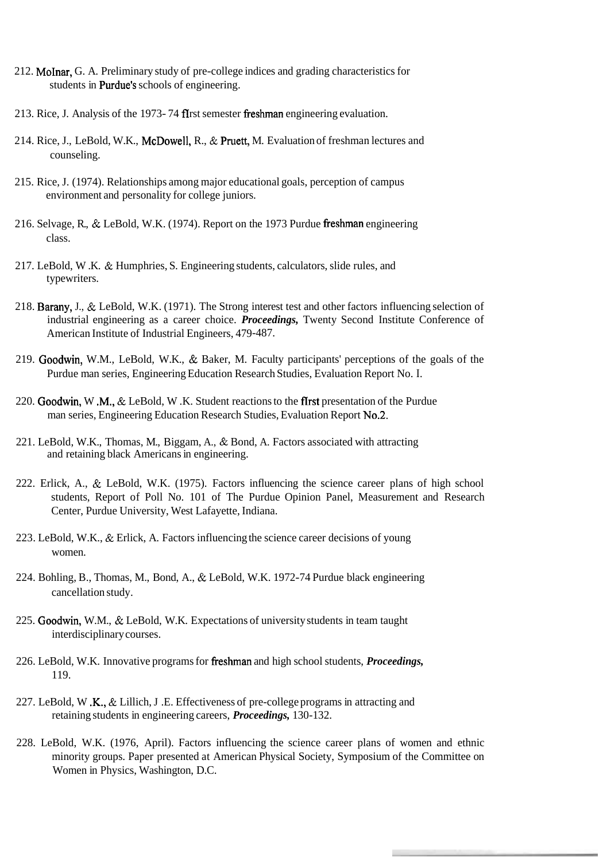- 212. MoInar, G. A. Preliminary study of pre-college indices and grading characteristics for students in Purdue's schools of engineering.
- 213. Rice, J. Analysis of the 1973-74 fIrst semester freshman engineering evaluation.
- 214. Rice, J., LeBold, W.K., McDowell, R., & Pruett, M. Evaluation of freshman lectures and counseling.
- 215. Rice, J. (1974). Relationships among major educational goals, perception of campus environment and personality for college juniors.
- 216. Selvage, R., & LeBold, W.K. (1974). Report on the 1973 Purdue freshman engineering class.
- 217. LeBold, W .K. & Humphries, S. Engineering students, calculators, slide rules, and typewriters.
- 218. Barany, J., & LeBold, W.K. (1971). The Strong interest test and other factors influencing selection of industrial engineering as a career choice. *Proceedings,* Twenty Second Institute Conference of American Institute of Industrial Engineers, 479-487.
- 219. Goodwin, W.M., LeBold, W.K., & Baker, M. Faculty participants' perceptions of the goals of the Purdue man series, Engineering Education Research Studies, Evaluation Report No. I.
- 220. Goodwin, W .M., & LeBold, W .K. Student reactions to the ffrst presentation of the Purdue man series, Engineering Education Research Studies, Evaluation Report No.2.
- 221. LeBold, W.K., Thomas, M., Biggam, A., & Bond, A. Factors associated with attracting and retaining black Americans in engineering.
- 222. Erlick, A., & LeBold, W.K. (1975). Factors influencing the science career plans of high school students, Report of Poll No. 101 of The Purdue Opinion Panel, Measurement and Research Center, Purdue University, West Lafayette, Indiana.
- 223. LeBold, W.K., & Erlick, A. Factors influencing the science career decisions of young women.
- 224. Bohling, B., Thomas, M., Bond, A., & LeBold, W.K. 1972-74 Purdue black engineering cancellation study.
- 225. Goodwin, W.M., & LeBold, W.K. Expectations of university students in team taught interdisciplinary courses.
- 226. LeBold, W.K. Innovative programs for freshman and high school students, *Proceedings*, 119.
- 227. LeBold, W .K.,  $\&$  Lillich, J .E. Effectiveness of pre-college programs in attracting and retaining students in engineering careers, *Proceedings,* 130-132.
- 228. LeBold, W.K. (1976, April). Factors influencing the science career plans of women and ethnic minority groups. Paper presented at American Physical Society, Symposium of the Committee on Women in Physics, Washington, D.C.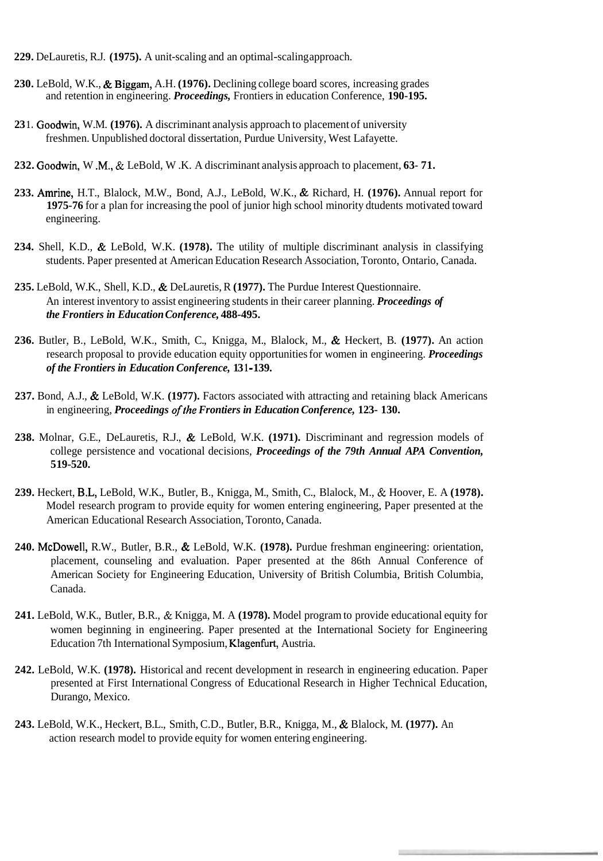- **229.** DeLauretis, R.J. **(1975).** A unit-scaling and an optimal-scaling approach.
- **230.** LeBold, W.K., & Biggam, A.H. **(1976).** Declining college board scores, increasing grades and retention in engineering. *Proceedings,* Frontiers in education Conference, **190-195.**
- **23 1.** Goodwin, W.M. **(1976).** A discriminant analysis approach to placement of university freshmen. Unpublished doctoral dissertation, Purdue University, West Lafayette.
- **232.** Goodwin, W .M., & LeBold, W .K. A discriminant analysis approach to placement, **63- 71.**
- **233.** Amrine, H.T., Blalock, M.W., Bond, A.J., LeBold, W.K., & Richard, H. **(1976).** Annual report for **1975-76** for a plan for increasing the pool of junior high school minority dtudents motivated toward engineering.
- **234.** Shell, K.D., & LeBold, W.K. **(1978).** The utility of multiple discriminant analysis in classifying students. Paper presented at American Education Research Association, Toronto, Ontario, Canada.
- **235.** LeBold, W.K., Shell, K.D., & DeLauretis, R **(1977).** The Purdue Interest Questionnaire. An interest inventory to assist engineering students in their career planning. *Proceedings of the Frontiers in Education Conference,* **488-495.**
- **236.** Butler, B., LeBold, W.K., Smith, C., Knigga, M., Blalock, M., & Heckert, B. **(1977).** An action research proposal to provide education equity opportunities for women in engineering. *Proceedings of the Frontiers in Education Conference,* **13 1** - **139.**
- **237.** Bond, A.J., & LeBold, W.K. **(1977).** Factors associated with attracting and retaining black Americans in engineering, *Proceedings ofthe Frontiers in Education Conference,* **123- 130.**
- **238.** Molnar, G.E., DeLauretis, R.J., & LeBold, W.K. **(1971).** Discriminant and regression models of college persistence and vocational decisions, *Proceedings of the 79th Annual APA Convention,*  **5 19-520.**
- **239.** Heckert, B.L, LeBold, W.K., Butler, B., Knigga, M., Smith, C., Blalock, M., & Hoover, E. A **(1978).**  Model research program to provide equity for women entering engineering, Paper presented at the American Educational Research Association, Toronto, Canada.
- **240.** McDowell, R.W., Butler, B.R., & LeBold, W.K. **(1978).** Purdue freshman engineering: orientation, placement, counseling and evaluation. Paper presented at the 86th Annual Conference of American Society for Engineering Education, University of British Columbia, British Columbia, Canada.
- **241.** LeBold, W.K., Butler, B.R., & Knigga, M. A **(1978).** Model program to provide educational equity for women beginning in engineering. Paper presented at the International Society for Engineering Education 7th International Symposium, Klagenfurt, Austria.
- **242.** LeBold, W.K. **(1978).** Historical and recent development in research in engineering education. Paper presented at First International Congress of Educational Research in Higher Technical Education, Durango, Mexico.
- **243.** LeBold, W.K., Heckert, B.L., Smith, C.D., Butler, B.R., Knigga, M., & Blalock, M. **(1977).** An action research model to provide equity for women entering engineering.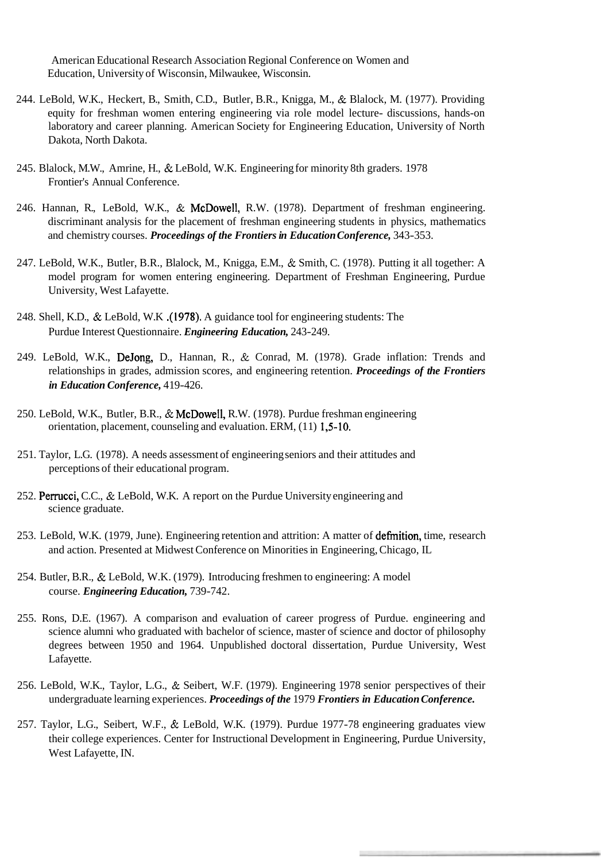American Educational Research Association Regional Conference on Women and Education, University of Wisconsin, Milwaukee, Wisconsin.

- 244. LeBold, W.K., Heckert, B., Smith, C.D., Butler, B.R., Knigga, M., & Blalock, M. (1977). Providing equity for freshman women entering engineering via role model lecture- discussions, hands-on laboratory and career planning. American Society for Engineering Education, University of North Dakota, North Dakota.
- 245. Blalock, M.W., Amrine, H., & LeBold, W.K. Engineering for minority 8th graders. 1978 Frontier's Annual Conference.
- 246. Hannan, R., LeBold, W.K., & McDowell, R.W. (1978). Department of freshman engineering. discriminant analysis for the placement of freshman engineering students in physics, mathematics and chemistry courses. *Proceedings of the Frontiers in Education Conference,* 343-353.
- 247. LeBold, W.K., Butler, B.R., Blalock, M., Knigga, E.M., & Smith, C. (1978). Putting it all together: A model program for women entering engineering. Department of Freshman Engineering, Purdue University, West Lafayette.
- 248. Shell, K.D., & LeBold, W.K .(1978). A guidance tool for engineering students: The Purdue Interest Questionnaire. *Engineering Education,* 243-249.
- 249. LeBold, W.K., DeJong, D., Hannan, R., & Conrad, M. (1978). Grade inflation: Trends and relationships in grades, admission scores, and engineering retention. *Proceedings of the Frontiers in Education Conference,* 4 19-426.
- 250. LeBold, W.K., Butler, B.R., & McDowell, R.W. (1978). Purdue freshman engineering orientation, placement, counseling and evaluation. ERM, (11) 1,5-10.
- 25 1. Taylor, L.G. (1978). A needs assessment of engineering seniors and their attitudes and perceptions of their educational program.
- 252. Permcci, C.C., & LeBold, W.K. A report on the Purdue University engineering and science graduate.
- 253. LeBold, W.K. (1979, June). Engineering retention and attrition: A matter of definition, time, research and action. Presented at Midwest Conference on Minorities in Engineering, Chicago, IL
- 254. Butler, B.R., & LeBold, W.K. (1979). Introducing freshmen to engineering: A model course. *Engineering Education,* 739-742.
- 255. Rons, D.E. (1967). A comparison and evaluation of career progress of Purdue. engineering and science alumni who graduated with bachelor of science, master of science and doctor of philosophy degrees between 1950 and 1964. Unpublished doctoral dissertation, Purdue University, West Lafayette.
- 256. LeBold, W.K., Taylor, L.G., & Seibert, W.F. (1979). Engineering 1978 senior perspectives of their undergraduate learning experiences. *Proceedings of the* 1979 *Frontiers in Education Conference.*
- 257. Taylor, L.G., Seibert, W.F., & LeBold, W.K. (1979). Purdue 1977-78 engineering graduates view their college experiences. Center for Instructional Development in Engineering, Purdue University, West Lafayette, IN.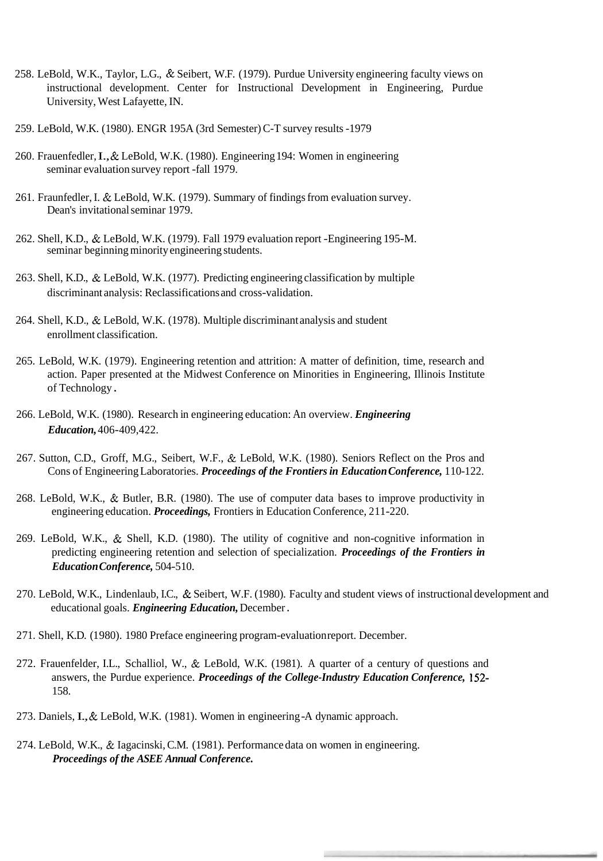- 258. LeBold, W.K., Taylor, L.G., & Seibert, W.F. (1979). Purdue University engineering faculty views on instructional development. Center for Instructional Development in Engineering, Purdue University, West Lafayette, IN.
- 259. LeBold, W.K. (1980). ENGR 195A (3rd Semester) C-T survey results -1979
- 260. Frauenfedler, I., & LeBold, W.K. (1980). Engineering 194: Women in engineering seminar evaluation survey report -fall 1979.
- 261. Fraunfedler, I. & LeBold, W.K. (1979). Summary of findings from evaluation survey. Dean's invitational seminar 1979.
- 262. Shell, K.D., & LeBold, W.K. (1979). Fall 1979 evaluation report -Engineering 195-M. seminar beginning minority engineering students.
- 263. Shell, K.D., & LeBold, W.K. (1977). Predicting engineering classification by multiple discriminant analysis: Reclassifications and cross-validation.
- 264. Shell, K.D., & LeBold, W.K. (1978). Multiple discriminant analysis and student enrollment classification.
- 265. LeBold, W.K. (1979). Engineering retention and attrition: A matter of definition, time, research and action. Paper presented at the Midwest Conference on Minorities in Engineering, Illinois Institute of Technology .
- 266. LeBold, W.K. (1980). Research in engineering education: An overview. *Engineering Education,* 406-409,422.
- 267. Sutton, C.D., Groff, M.G., Seibert, W.F., & LeBold, W.K. (1980). Seniors Reflect on the Pros and Cons of Engineering Laboratories. *Proceedings of the Frontiers in Education Conference*, 110-122.
- 268. LeBold, W.K., & Butler, B.R. (1980). The use of computer data bases to improve productivity in engineering education. *Proceedings,* Frontiers in Education Conference, 2 1 1-220.
- 269. LeBold, W.K., & Shell, K.D. (1980). The utility of cognitive and non-cognitive information in predicting engineering retention and selection of specialization. *Proceedings of the Frontiers in Education Conference,* 504-5 10.
- 270. LeBold, W.K., Lindenlaub, I.C., & Seibert, W.F. (1980). Faculty and student views of instructional development and educational goals. *Engineering Education,* December .
- 271. Shell, K.D. (1980). 1980 Preface engineering program-evaluation report. December.
- 272. Frauenfelder, I.L., Schalliol, W., & LeBold, W.K. (1981). A quarter of a century of questions and answers, the Purdue experience. *Proceedings of the College-Industry Education Conference,* 152- 158.
- 273. Daniels, I., & LeBold, W.K. (1981). Women in engineering -A dynamic approach.
- 274. LeBold, W.K., & Iagacinski, C.M. (1981). Performance data on women in engineering. *Proceedings of the ASEE Annual Conference.*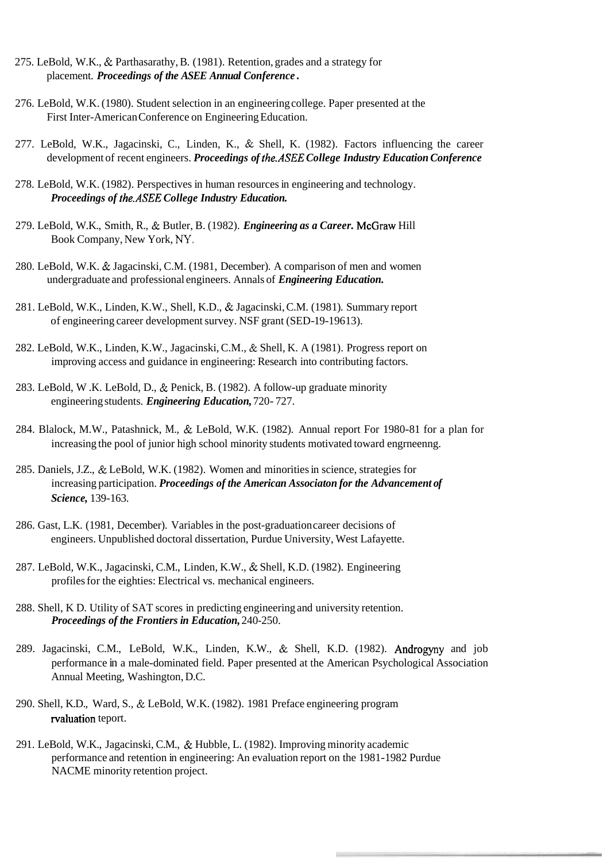- 275. LeBold, W.K., & Parthasarathy, B. (1981). Retention, grades and a strategy for placement. *Proceedings of the ASEE Annual Conference* .
- 276. LeBold, W.K. (1980). Student selection in an engineering college. Paper presented at the First Inter-American Conference on Engineering Education.
- 277. LeBold, W.K., Jagacinski, C., Linden, K., & Shell, K. (1982). Factors influencing the career development of recent engineers. *Proceedings of the.ASEE College Industry Education Conference*
- 278. LeBold, W.K. (1982). Perspectives in human resources in engineering and technology. *Proceedings of the.ASEE College Industry Education.*
- 279. LeBold, W.K., Smith, R., & Butler, B. (1982). *Engineering as a Career.* McGraw Hill Book Company, New York, **NY.**
- 280. LeBold, W.K. & Jagacinski, C.M. (1981, December). A comparison of men and women undergraduate and professional engineers. Annals of *Engineering Education.*
- 281. LeBold, W.K., Linden, K.W., Shell, K.D., & Jagacinski, C.M. (198 1). Summary report of engineering career development survey. NSF grant (SED-19-19613).
- 282. LeBold, W.K., Linden, K.W., Jagacinski, C.M., & Shell, K. A (1981). Progress report on improving access and guidance in engineering: Research into contributing factors.
- 283. LeBold, W .K. LeBold, D., & Penick, B. (1982). A follow-up graduate minority engineering students. *Engineering Education,* 720- 727.
- 284. Blalock, M.W., Patashnick, M., & LeBold, W.K. (1982). Annual report For 1980-81 for a plan for increasing the pool of junior high school minority students motivated toward engrneenng.
- 285. Daniels, J.Z., & LeBold, W.K. (1982). Women and minorities in science, strategies for increasing participation. *Proceedings of the American Associaton for the Advancement of Science,* 139-163.
- 286. Gast, L.K. (1981, December). Variables in the post-graduation career decisions of engineers. Unpublished doctoral dissertation, Purdue University, West Lafayette.
- 287. LeBold, W.K., Jagacinski, C.M., Linden, K.W., & Shell, K.D. (1982). Engineering profiles for the eighties: Electrical vs. mechanical engineers.
- 288. Shell, K D. Utility of SAT scores in predicting engineering and university retention. *Proceedings of the Frontiers in Education,* 240-250.
- 289. Jagacinski, C.M., LeBold, W.K., Linden, K.W., & Shell, K.D. (1982). Androgyny and job performance in a male-dominated field. Paper presented at the American Psychological Association Annual Meeting, Washington, D.C.
- 290. Shell, K.D., Ward, S., & LeBold, W.K. (1982). 1981 Preface engineering program rvaluation teport.
- 291. LeBold, W.K., Jagacinski, C.M., & Hubble, L. (1982). Improving minority academic performance and retention in engineering: An evaluation report on the 1981-1982 Purdue NACME minority retention project.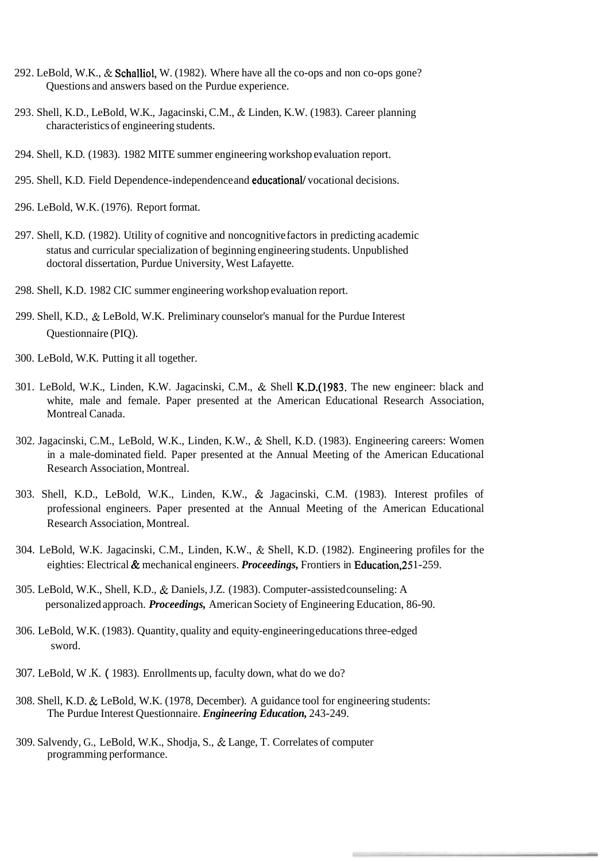- 292. LeBold, W.K., & Schalliol, W. (1982). Where have all the co-ops and non co-ops gone? Questions and answers based on the Purdue experience.
- 293. Shell, K.D., LeBold, W.K., Jagacinski, C.M., & Linden, K.W. (1983). Career planning characteristics of engineering students.
- 294. Shell, K.D. (1983). 1982 MITE summer engineering workshop evaluation report.
- 295. Shell, K.D. Field Dependence-independence and educationall vocational decisions.
- 296. LeBold, W.K. (1976). Report format.
- 297. Shell, K.D. (1982). Utility of cognitive and noncognitive factors in predicting academic status and curricular specialization of beginning engineering students. Unpublished doctoral dissertation, Purdue University, West Lafayette.
- 298. Shell, K.D. 1982 CIC summer engineering workshop evaluation report.
- 299. Shell, K.D., & LeBold, W.K. Preliminary counselor's manual for the Purdue Interest Questionnaire (PIQ).
- 300. LeBold, W.K. Putting it all together.
- 301. LeBold, W.K., Linden, K.W. Jagacinski, C.M., & Shell K.D.(1983. The new engineer: black and white, male and female. Paper presented at the American Educational Research Association, Montreal Canada.
- 302. Jagacinski, C.M., LeBold, W.K., Linden, K.W., & Shell, K.D. (1983). Engineering careers: Women in a male-dominated field. Paper presented at the Annual Meeting of the American Educational Research Association, Montreal.
- 303. Shell, K.D., LeBold, W.K., Linden, K.W., & Jagacinski, C.M. (1983). Interest profiles of professional engineers. Paper presented at the Annual Meeting of the American Educational Research Association, Montreal.
- 304. LeBold, W.K. Jagacinski, C.M., Linden, K.W., & Shell, K.D. (1982). Engineering profiles for the eighties: Electrical & mechanical engineers. *Proceedings,* Frontiers in Education,25 1-259.
- 305. LeBold, W.K., Shell, K.D., & Daniels, J.Z. (1983). Computer-assisted counseling: A personalized approach. *Proceedings,* American Society of Engineering Education, 86-90.
- 306. LeBold, W.K. (1983). Quantity, quality and equity-engineering educations three-edged sword.
- 307. LeBold, W .K. ( 1983). Enrollments up, faculty down, what do we do?
- 308. Shell, K.D. & LeBold, W.K. (1978, December). A guidance tool for engineering students: The Purdue Interest Questionnaire. *Engineering Education,* 243-249.
- 309. Salvendy, G., LeBold, W.K., Shodja, S., & Lange, T. Correlates of computer programming performance.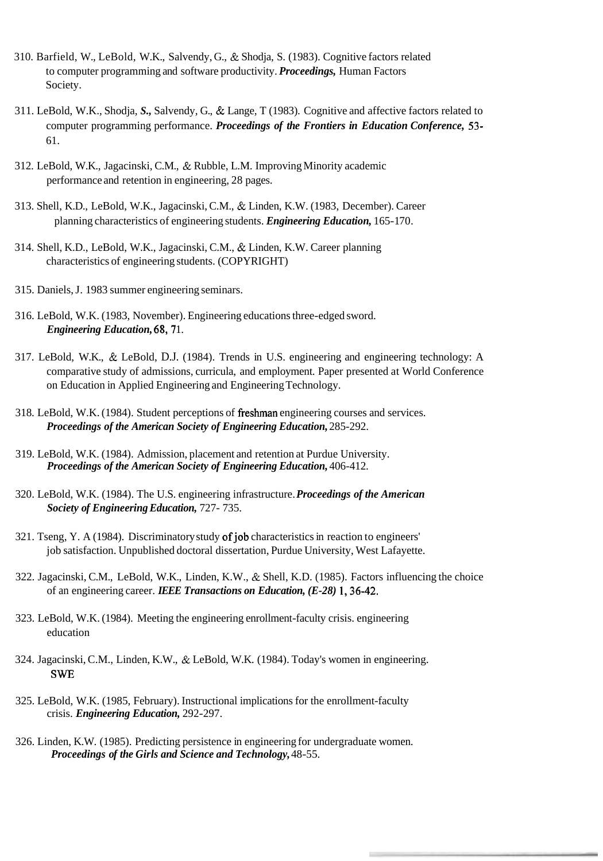- 310. Barfield, W., LeBold, W.K., Salvendy, G., & Shodja, S. (1983). Cognitive factors related to computer programming and software productivity. *Proceedings,* Human Factors Society.
- 3 11. LeBold, W.K., Shodja, *S.,* Salvendy, G., & Lange, T (1983). Cognitive and affective factors related to computer programming performance. *Proceedings of the Frontiers in Education Conference,* 53- 61.
- 3 12. LeBold, W.K., Jagacinski, C.M., & Rubble, L.M. Improving Minority academic performance and retention in engineering, 28 pages.
- 3 13. Shell, K.D., LeBold, W.K., Jagacinski, C.M., & Linden, K.W. (1983, December). Career planning characteristics of engineering students. *Engineering Education*, 165-170.
- 3 14. Shell, K.D., LeBold, W.K., Jagacinski, C.M., & Linden, K.W. Career planning characteristics of engineering students. (COPYRIGHT)
- 3 15. Daniels, J. 1983 summer engineering seminars.
- 3 16. LeBold, W.K. (1983, November). Engineering educations three-edged sword. *Engineering Education, 68, 71.*
- 317. LeBold, W.K., & LeBold, D.J. (1984). Trends in U.S. engineering and engineering technology: A comparative study of admissions, curricula, and employment. Paper presented at World Conference on Education in Applied Engineering and Engineering Technology.
- 3 18. LeBold, W.K. (1984). Student perceptions of freshman engineering courses and services. *Proceedings of the American Society of Engineering Education,* 285-292.
- 3 19. LeBold, W.K. (1984). Admission, placement and retention at Purdue University. **Proceedings of the American Society of Engineering Education, 406-412.**
- 320. LeBold, W.K. (1984). The U.S. engineering infrastructure. *Proceedings of the American Society of Engineering Education,* 727- 735.
- 321. Tseng, Y. A (1984). Discriminatory study of job characteristics in reaction to engineers' job satisfaction. Unpublished doctoral dissertation, Purdue University, West Lafayette.
- 322. Jagacinski, C.M., LeBold, W.K., Linden, K.W., & Shell, K.D. (1985). Factors influencing the choice of an engineering career. *IEEE Transactions on Education, (E-28)* 1,36-42.
- 323. LeBold, W.K. (1984). Meeting the engineering enrollment-faculty crisis. engineering education
- 324. Jagacinski, C.M., Linden, K.W., & LeBold, W.K. (1984). Today's women in engineering. SWE
- 325. LeBold, W.K. (1985, February). Instructional implications for the enrollment-faculty crisis. *Engineering Education,* 292-297.
- 326. Linden, K.W. (1985). Predicting persistence in engineering for undergraduate women. *Proceedings of the Girls and Science and Technology,* 48-55.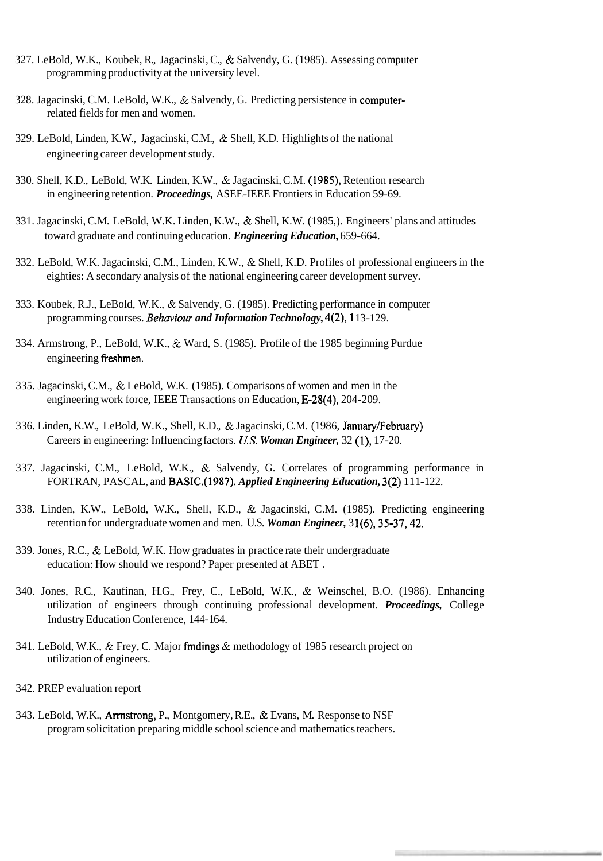- 327. LeBold, W.K., Koubek, R., Jagacinski, C., & Salvendy, G. (1985). Assessing computer programming productivity at the university level.
- 328. Jagacinski, C.M. LeBold, W.K., & Salvendy, G. Predicting persistence in computerrelated fields for men and women.
- 329. LeBold, Linden, K.W., Jagacinski, C.M., & Shell, K.D. Highlights of the national engineering career development study.
- 330. Shell, K.D., LeBold, W.K. Linden, K.W., & Jagacinski, C.M. (1985), Retention research in engineering retention. *Proceedings,* ASEE-IEEE Frontiers in Education 59-69.
- 331. Jagacinski, C.M. LeBold, W.K. Linden, K.W., & Shell, K.W. (1985,). Engineers' plans and attitudes toward graduate and continuing education. *Engineering Education,* 659-664.
- 332. LeBold, W.K. Jagacinski, C.M., Linden, K.W., & Shell, K.D. Profiles of professional engineers in the eighties: A secondary analysis of the national engineering career development survey.
- 333. Koubek, R.J., LeBold, W.K., & Salvendy, G. (1985). Predicting performance in computer programming courses. *Behaviour and Information Technology,* 4(2), 1 13- 129.
- 334. Armstrong, P., LeBold, W.K., & Ward, S. (1985). Profile of the 1985 beginning Purdue engineering freshmen.
- 335. Jagacinski, C.M., & LeBold, W.K. (1985). Comparisons of women and men in the engineering work force, IEEE Transactions on Education, E-28(4), 204-209.
- 336. Linden, K.W., LeBold, W.K., Shell, K.D., & Jagacinski, C.M. (1986, January/February). Careers in engineering: Influencing factors. *U.S. Woman Engineer,* 32 (I), 17-20.
- 337. Jagacinski, C.M., LeBold, W.K., & Salvendy, G. Correlates of programming performance in FORTRAN, PASCAL, and BASIC.(1987). *Applied Engineering Education,* 3(2) 1 1 1-122.
- 338. Linden, K.W., LeBold, W.K., Shell, K.D., & Jagacinski, C.M. (1985). Predicting engineering retention for undergraduate women and men. U.S. *Woman Engineer,* 3 1(6), 35-37,42.
- 339. Jones, R.C., & LeBold, W.K. How graduates in practice rate their undergraduate education: How should we respond? Paper presented at ABET .
- 340. Jones, R.C., Kaufinan, H.G., Frey, C., LeBold, W.K., & Weinschel, B.O. (1986). Enhancing utilization of engineers through continuing professional development. *Proceedings,* College Industry Education Conference, 144-164.
- 341. LeBold, W.K., & Frey, C. Major fmdings & methodology of 1985 research project on utilization of engineers.
- 342. PREP evaluation report
- 343. LeBold, W.K., Arrnstrong, P., Montgomery, R.E., & Evans, M. Response to NSF program solicitation preparing middle school science and mathematics teachers.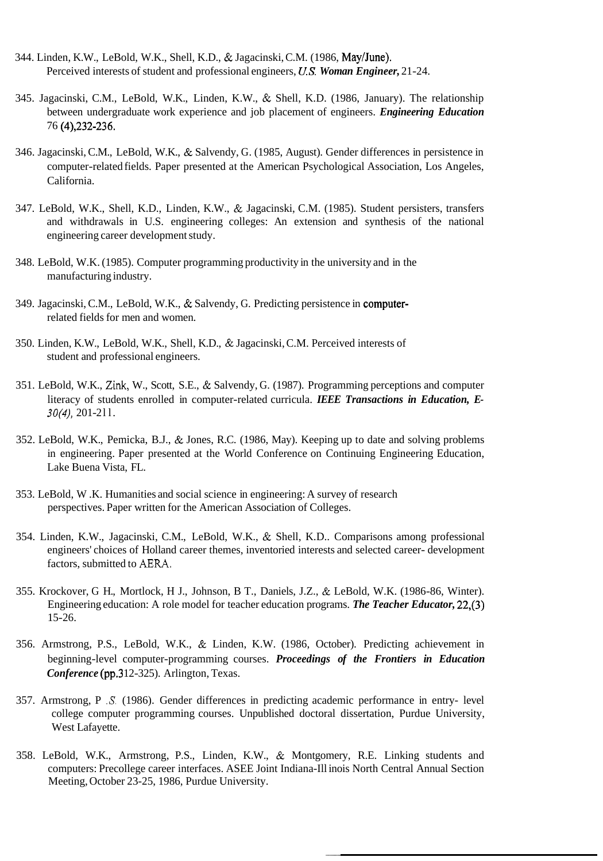- 344. Linden, K.W., LeBold, W.K., Shell, K.D., & Jagacinski, C.M. (1986, May/June). Perceived interests of student and professional engineers, **US.** *Woman Engineer,* 21-24.
- 345. Jagacinski, C.M., LeBold, W.K., Linden, K.W., & Shell, K.D. (1986, January). The relationship between undergraduate work experience and job placement of engineers. *Engineering Education*  76 (4),232-236.
- 346. Jagacinski, C.M., LeBold, W.K., & Salvendy, G. (1985, August). Gender differences in persistence in computer-related fields. Paper presented at the American Psychological Association, Los Angeles, California.
- 347. LeBold, W.K., Shell, K.D., Linden, K.W., & Jagacinski, C.M. (1985). Student persisters, transfers and withdrawals in U.S. engineering colleges: An extension and synthesis of the national engineering career development study.
- 348. LeBold, W.K. (1985). Computer programming productivity in the university and in the manufacturing industry.
- 349. Jagacinski, C.M., LeBold, W.K., & Salvendy, G. Predicting persistence in computerrelated fields for men and women.
- 350. Linden, K.W., LeBold, W.K., Shell, K.D., & Jagacinski, C.M. Perceived interests of student and professional engineers.
- 351. LeBold, W.K., **Zink,** W., Scott, S.E., & Salvendy, G. (1987). Programming perceptions and computer literacy of students enrolled in computer-related curricula. *IEEE Transactions in Education, E-30(4)*, 201-211.
- 352. LeBold, W.K., Pemicka, B.J., & Jones, R.C. (1986, May). Keeping up to date and solving problems in engineering. Paper presented at the World Conference on Continuing Engineering Education, Lake Buena Vista, FL.
- 353. LeBold, W .K. Humanities and social science in engineering: A survey of research perspectives. Paper written for the American Association of Colleges.
- 354. Linden, K.W., Jagacinski, C.M., LeBold, W.K., & Shell, K.D.. Comparisons among professional engineers' choices of Holland career themes, inventoried interests and selected career- development factors, submitted to **AERA.**
- 355. Krockover, G H., Mortlock, H J., Johnson, B T., Daniels, J.Z., & LeBold, W.K. (1986-86, Winter). Engineering education: A role model for teacher education programs. *The Teacher Educator,* 22,(3) 15-26.
- 356. Armstrong, P.S., LeBold, W.K., & Linden, K.W. (1986, October). Predicting achievement in beginning-level computer-programming courses. *Proceedings of the Frontiers in Education Conference* (pp.3 12-325). Arlington, Texas.
- 357. Armstrong, P *.S.* (1986). Gender differences in predicting academic performance in entry- level college computer programming courses. Unpublished doctoral dissertation, Purdue University, West Lafayette.
- 358. LeBold, W.K., Armstrong, P.S., Linden, K.W., & Montgomery, R.E. Linking students and computers: Precollege career interfaces. ASEE Joint Indiana-Ill inois North Central Annual Section Meeting, October 23-25, 1986, Purdue University.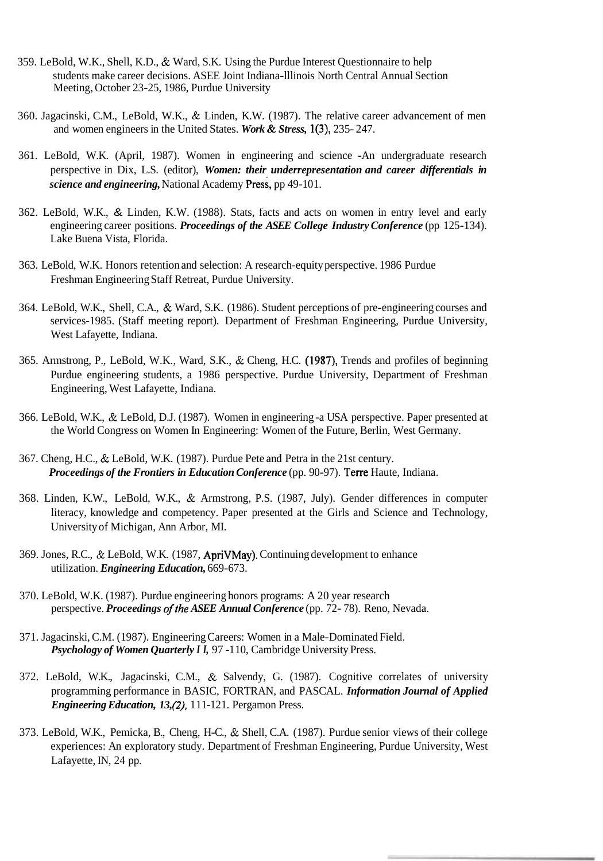- 359. LeBold, W.K., Shell, K.D., & Ward, S.K. Using the Purdue Interest Questionnaire to help students make career decisions. ASEE Joint Indiana-lllinois North Central Annual Section Meeting, October 23-25, 1986, Purdue University
- 360. Jagacinski, C.M., LeBold, W.K., & Linden, K.W. (1987). The relative career advancement of men and women engineers in the United States. *Work* & *Stress,* 1(3), 235- 247.
- 361. LeBold, W.K. (April, 1987). Women in engineering and science -An undergraduate research perspective in Dix, L.S. (editor), *Women: their underrepresentation and career differentials in science and engineering, National Academy Press, pp 49-101.*
- 362. LeBold, W.K., & Linden, K.W. (1988). Stats, facts and acts on women in entry level and early engineering career positions. *Proceedings of the ASEE College Industry Conference* (pp 125-134). Lake Buena Vista, Florida.
- 363. LeBold, W.K. Honors retention and selection: A research-equity perspective. 1986 Purdue Freshman Engineering Staff Retreat, Purdue University.
- 364. LeBold, W.K., Shell, C.A., & Ward, S.K. (1986). Student perceptions of pre-engineering courses and services-1985. (Staff meeting report). Department of Freshman Engineering, Purdue University, West Lafayette, Indiana.
- 365. Armstrong, P., LeBold, W.K., Ward, S.K., & Cheng, H.C. (1987), Trends and profiles of beginning Purdue engineering students, a 1986 perspective. Purdue University, Department of Freshman Engineering, West Lafayette, Indiana.
- 366. LeBold, W.K., & LeBold, D.J. (1987). Women in engineering -a USA perspective. Paper presented at the World Congress on Women In Engineering: Women of the Future, Berlin, West Germany.
- 367. Cheng, H.C., & LeBold, W.K. (1987). Purdue Pete and Petra in the 21st century. *Proceedings of the Frontiers in Education Conference* (pp. 90-97). Terre Haute, Indiana.
- 368. Linden, K.W., LeBold, W.K., & Armstrong, P.S. (1987, July). Gender differences in computer literacy, knowledge and competency. Paper presented at the Girls and Science and Technology, University of Michigan, Ann Arbor, MI.
- 369. Jones, R.C., & LeBold, W.K. (1987, ApriVMay). Continuing development to enhance utilization. *Engineering Education,* 669-673.
- 370. LeBold, W.K. (1987). Purdue engineering honors programs: A 20 year research perspective. *Proceedings ofthe ASEE Annual Conference* (pp. 72- 78). Reno, Nevada.
- 371. Jagacinski, C.M. (1987). Engineering Careers: Women in a Male-Dominated Field. *Psychology of Women Quarterly I I,* 97 -1 10, Cambridge University Press.
- 372. LeBold, W.K., Jagacinski, C.M., & Salvendy, G. (1987). Cognitive correlates of university programming performance in BASIC, FORTRAN, and PASCAL. *Information Journal of Applied Engineering Education, 13, (2), 111-121. Pergamon Press.*
- 373. LeBold, W.K., Pemicka, B., Cheng, H-C., & Shell, C.A. (1987). Purdue senior views of their college experiences: An exploratory study. Department of Freshman Engineering, Purdue University, West Lafayette, IN, 24 pp.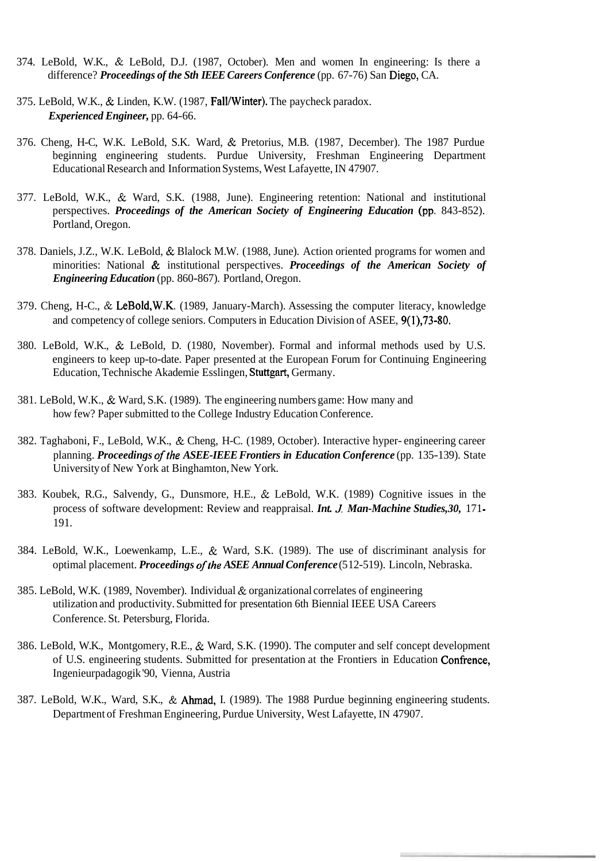- 374. LeBold, W.K., & LeBold, D.J. (1987, October). Men and women In engineering: Is there a difference? *Proceedings of the Sth IEEE Careers Conference* (pp. 67-76) San Diego, CA.
- 375. LeBold, W.K., & Linden, K.W. (1987, Fall/Winter). The paycheck paradox. *Experienced Engineer,* pp. 64-66.
- 376. Cheng, H-C, W.K. LeBold, S.K. Ward, & Pretorius, M.B. (1987, December). The 1987 Purdue beginning engineering students. Purdue University, Freshman Engineering Department Educational Research and Information Systems, West Lafayette, IN 47907.
- 377. LeBold, W.K., & Ward, S.K. (1988, June). Engineering retention: National and institutional perspectives. *Proceedings of the American Society of Engineering Education* (pp. 843-852). Portland, Oregon.
- 378. Daniels, J.Z., W.K. LeBold, & Blalock M.W. (1988, June). Action oriented programs for women and minorities: National & institutional perspectives. *Proceedings of the American Society of Engineering Education* (pp. 860-867). Portland, Oregon.
- 379. Cheng, H-C., & LeBold,W.K. (1989, January-March). Assessing the computer literacy, knowledge and competency of college seniors. Computers in Education Division of ASEE, 9(1),73-80.
- 380. LeBold, W.K., & LeBold, D. (1980, November). Formal and informal methods used by U.S. engineers to keep up-to-date. Paper presented at the European Forum for Continuing Engineering Education, Technische Akademie Esslingen, Stuttgart, Germany.
- 381. LeBold, W.K., & Ward, S.K. (1989). The engineering numbers game: How many and how few? Paper submitted to the College Industry Education Conference.
- 382. Taghaboni, F., LeBold, W.K., & Cheng, H-C. (1989, October). Interactive hyper- engineering career planning. *Proceedings of the ASEE-IEEE Frontiers in Education Conference* (pp. 135-139). State University of New York at Binghamton, New York.
- 383. Koubek, R.G., Salvendy, G., Dunsmore, H.E., & LeBold, W.K. (1989) Cognitive issues in the process of software development: Review and reappraisal. *Int. J Man-Machine Studies, 30,* 17 1 - 191.
- 384. LeBold, W.K., Loewenkamp, L.E., & Ward, S.K. (1989). The use of discriminant analysis for optimal placement. *Proceedings ofthe ASEE Annual Conference* (5 12-5 19). Lincoln, Nebraska.
- 385. LeBold, W.K. (1989, November). Individual & organizational correlates of engineering utilization and productivity. Submitted for presentation 6th Biennial IEEE USA Careers Conference. St. Petersburg, Florida.
- 386. LeBold, W.K., Montgomery, R.E., & Ward, S.K. (1990). The computer and self concept development of U.S. engineering students. Submitted for presentation at the Frontiers in Education Confience, Ingenieurpadagogik '90, Vienna, Austria
- 387. LeBold, W.K., Ward, S.K., & Ahmad, I. (1989). The 1988 Purdue beginning engineering students. Department of Freshman Engineering, Purdue University, West Lafayette, IN 47907.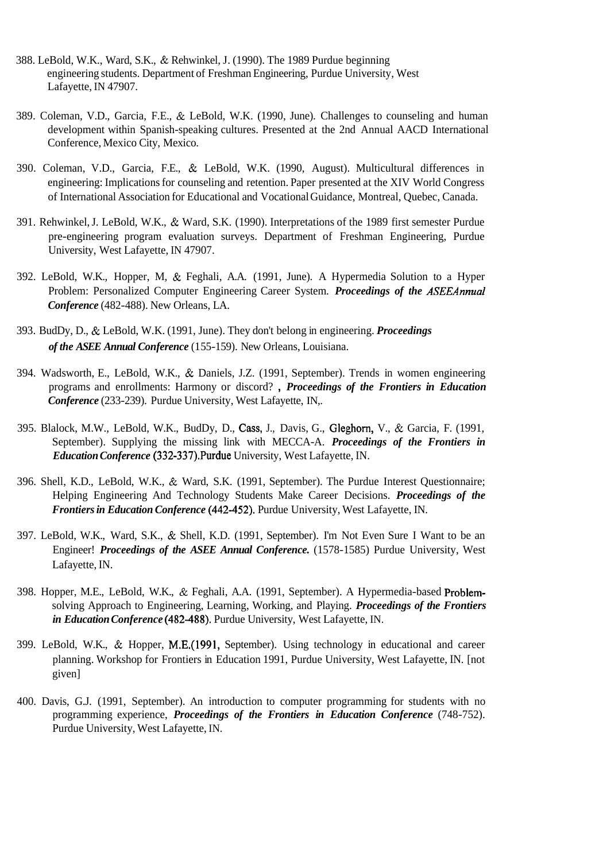- 388. LeBold, W.K., Ward, S.K., & Rehwinkel, J. (1990). The 1989 Purdue beginning engineering students. Department of Freshman Engineering, Purdue University, West Lafayette, IN 47907.
- 389. Coleman, V.D., Garcia, F.E., & LeBold, W.K. (1990, June). Challenges to counseling and human development within Spanish-speaking cultures. Presented at the 2nd Annual AACD International Conference, Mexico City, Mexico.
- 390. Coleman, V.D., Garcia, F.E., & LeBold, W.K. (1990, August). Multicultural differences in engineering: Implications for counseling and retention. Paper presented at the XIV World Congress of International Association for Educational and Vocational Guidance, Montreal, Quebec, Canada.
- 391. Rehwinkel, J. LeBold, W.K., & Ward, S.K. (1990). Interpretations of the 1989 first semester Purdue pre-engineering program evaluation surveys. Department of Freshman Engineering, Purdue University, West Lafayette, IN 47907.
- 392. LeBold, W.K., Hopper, M, & Feghali, A.A. (1991, June). A Hypermedia Solution to a Hyper Problem: Personalized Computer Engineering Career System. *Proceedings of the ASEEAnnual Conference* (482-488). New Orleans, LA.
- 393. BudDy, D., & LeBold, W.K. (1991, June). They don't belong in engineering. *Proceedings of the ASEE Annual Conference* (155-159). New Orleans, Louisiana.
- 394. Wadsworth, E., LeBold, W.K., & Daniels, J.Z. (1991, September). Trends in women engineering programs and enrollments: Harmony or discord? , *Proceedings of the Frontiers in Education Conference* (233-239). Purdue University, West Lafayette, IN,.
- 395. Blalock, M.W., LeBold, W.K., BudDy, D., Cass, J., Davis, G., Gleghom, V., & Garcia, F. (1991, September). Supplying the missing link with MECCA-A. *Proceedings of the Frontiers in Education Conference* (332-337).Purdue University, West Lafayette, IN.
- 396. Shell, K.D., LeBold, W.K., & Ward, S.K. (1991, September). The Purdue Interest Questionnaire; Helping Engineering And Technology Students Make Career Decisions. *Proceedings of the Frontiers in Education Conference* (442-452). Purdue University, West Lafayette, IN.
- 397. LeBold, W.K., Ward, S.K., & Shell, K.D. (1991, September). I'm Not Even Sure I Want to be an Engineer! *Proceedings of the ASEE Annual Conference.* (1578-1585) Purdue University, West Lafayette, IN.
- 398. Hopper, M.E., LeBold, W.K., & Feghali, A.A. (1991, September). A Hypermedia-based Problemsolving Approach to Engineering, Learning, Working, and Playing. *Proceedings of the Frontiers in Education Conference* (482-488). Purdue University, West Lafayette, IN.
- 399. LeBold, W.K., & Hopper, M.E.(1991, September). Using technology in educational and career planning. Workshop for Frontiers in Education 1991, Purdue University, West Lafayette, IN. [not given]
- 400. Davis, G.J. (1991, September). An introduction to computer programming for students with no programming experience, *Proceedings of the Frontiers in Education Conference* (748-752). Purdue University, West Lafayette, IN.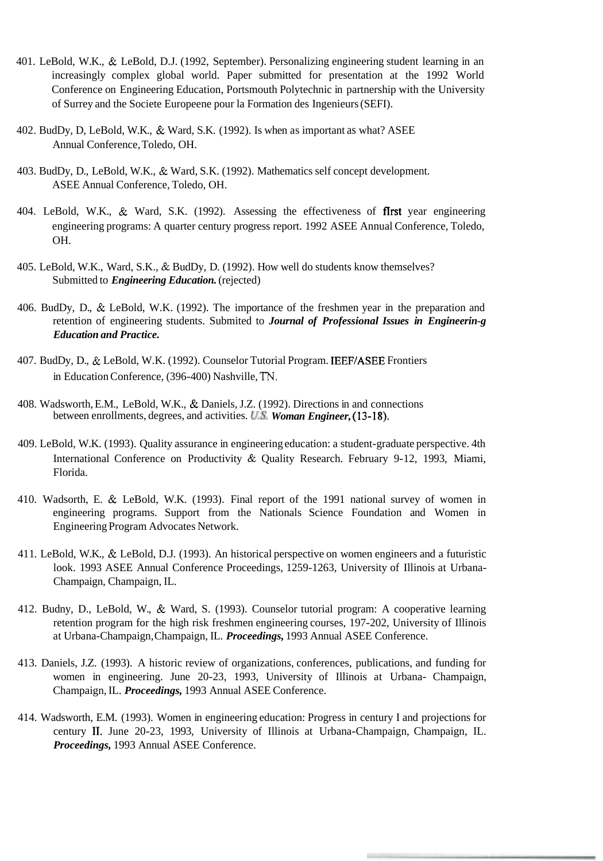- 401. LeBold, W.K., & LeBold, D.J. (1992, September). Personalizing engineering student learning in an increasingly complex global world. Paper submitted for presentation at the 1992 World Conference on Engineering Education, Portsmouth Polytechnic in partnership with the University of Surrey and the Societe Europeene pour la Formation des Ingenieurs (SEFI).
- 402. BudDy, D, LeBold, W.K., & Ward, S.K. (1992). Is when as important as what? ASEE Annual Conference, Toledo, OH.
- 403. BudDy, D., LeBold, W.K., & Ward, S.K. (1992). Mathematics self concept development. ASEE Annual Conference, Toledo, OH.
- 404. LeBold, W.K., & Ward, S.K. (1992). Assessing the effectiveness of flrst year engineering engineering programs: A quarter century progress report. 1992 ASEE Annual Conference, Toledo, OH.
- 405. LeBold, W.K., Ward, S.K., & BudDy, D. (1992). How well do students know themselves? Submitted to *Engineering Education*. (rejected)
- 406. BudDy, D., & LeBold, W.K. (1992). The importance of the freshmen year in the preparation and retention of engineering students. Submited to *Journal of Professional Issues in Engineerin-g Education and Practice.*
- 407. BudDy, D., & LeBold, W.K. (1992). Counselor Tutorial Program. IEEF/ASEE Frontiers in Education Conference, (396-400) Nashville, **TN.**
- 408. Wadsworth, E.M., LeBold, W.K., & Daniels, J.Z. (1992). Directions in and connections between enrollments, degrees, and activities. **US.** *Woman Engineer,* (13-18).
- 409. LeBold, W.K. (1993). Quality assurance in engineering education: a student-graduate perspective. 4th International Conference on Productivity & Quality Research. February 9-12, 1993, Miami, Florida.
- 410. Wadsorth, E. & LeBold, W.K. (1993). Final report of the 1991 national survey of women in engineering programs. Support from the Nationals Science Foundation and Women in Engineering Program Advocates Network.
- 41 1. LeBold, W.K., & LeBold, D.J. (1993). An historical perspective on women engineers and a futuristic look. 1993 ASEE Annual Conference Proceedings, 1259-1263, University of Illinois at Urbana-Champaign, Champaign, IL.
- 412. Budny, D., LeBold, W., & Ward, S. (1993). Counselor tutorial program: A cooperative learning retention program for the high risk freshmen engineering courses, 197-202, University of Illinois at Urbana-Champaign, Champaign, IL. *Proceedings,* 1993 Annual ASEE Conference.
- 413. Daniels, J.Z. (1993). A historic review of organizations, conferences, publications, and funding for women in engineering. June 20-23, 1993, University of Illinois at Urbana- Champaign, Champaign, IL. *Proceedings,* 1993 Annual ASEE Conference.
- 414. Wadsworth, E.M. (1993). Women in engineering education: Progress in century I and projections for century 11. June 20-23, 1993, University of Illinois at Urbana-Champaign, Champaign, IL. *Proceedings,* 1993 Annual ASEE Conference.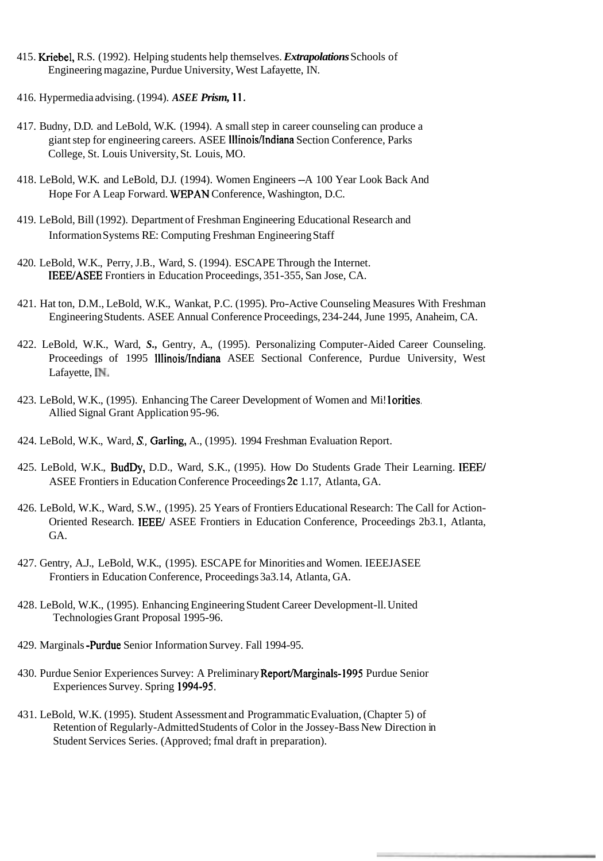- 41 5. Kriebel, R.S. (1992). Helping students help themselves. *Extrapolations* Schools of Engineering magazine, Purdue University, West Lafayette, IN.
- 4 16. Hypermedia advising. (1 994). *ASEE Prism,* 1 1.
- 417. Budny, D.D. and LeBold, W.K. (1994). A small step in career counseling can produce a giant step for engineering careers. ASEE Illinois/Indiana Section Conference, Parks College, St. Louis University, St. Louis, MO.
- 41 8. LeBold, W.K. and LeBold, D.J. (1994). Women Engineers --A 100 Year Look Back And Hope For A Leap Forward. WEPAN Conference, Washington, D.C.
- 419. LeBold, Bill (1992). Department of Freshman Engineering Educational Research and Information Systems RE: Computing Freshman Engineering Staff
- 420. LeBold, W.K., Perry, J.B., Ward, S. (1994). ESCAPE Through the Internet. IEEE/ASEE Frontiers in Education Proceedings, 351-355, San Jose, CA.
- 421. Hat ton, D.M., LeBold, W.K., Wankat, P.C. (1995). Pro-Active Counseling Measures With Freshman Engineering Students. ASEE Annual Conference Proceedings, 234-244, June 1995, Anaheim, CA.
- 422. LeBold, W.K., Ward, *S.,* Gentry, A., (1995). Personalizing Computer-Aided Career Counseling. Proceedings of 1995 Illinois/Indiana ASEE Sectional Conference, Purdue University, West Lafayette, **IN.**
- 423. LeBold, W.K., (1995). Enhancing The Career Development of Women and Mi! lorities. Allied Signal Grant Application 95-96.
- 424. LeBold, W.K., Ward, *S.,* Garling, A., (1995). 1994 Freshman Evaluation Report.
- 425. LeBold, W.K., BudDy, D.D., Ward, S.K., (1995). How Do Students Grade Their Learning. IEEE/ ASEE Frontiers in Education Conference Proceedings 2c 1.17, Atlanta, GA.
- 426. LeBold, W.K., Ward, S.W., (1995). 25 Years of Frontiers Educational Research: The Call for Action-Oriented Research. IEEE/ ASEE Frontiers in Education Conference, Proceedings 2b3.1, Atlanta, GA.
- 427. Gentry, A.J., LeBold, W.K., (1995). ESCAPE for Minorities and Women. IEEEJASEE Frontiers in Education Conference, Proceedings 3a3.14, Atlanta, GA.
- 428. LeBold, W.K., (1995). Enhancing Engineering Student Career Development-ll. United Technologies Grant Proposal 1995-96.
- 429. Marginals -Purdue Senior Information Survey. Fall 1994-95.
- 430. Purdue Senior Experiences Survey: A Preliminary Report/Marginals-1995 Purdue Senior Experiences Survey. Spring 1994-95.
- 43 1. LeBold, W.K. (1995). Student Assessment and Programmatic Evaluation, (Chapter 5) of Retention of Regularly-Admitted Students of Color in the Jossey-Bass New Direction in Student Services Series. (Approved; fmal draft in preparation).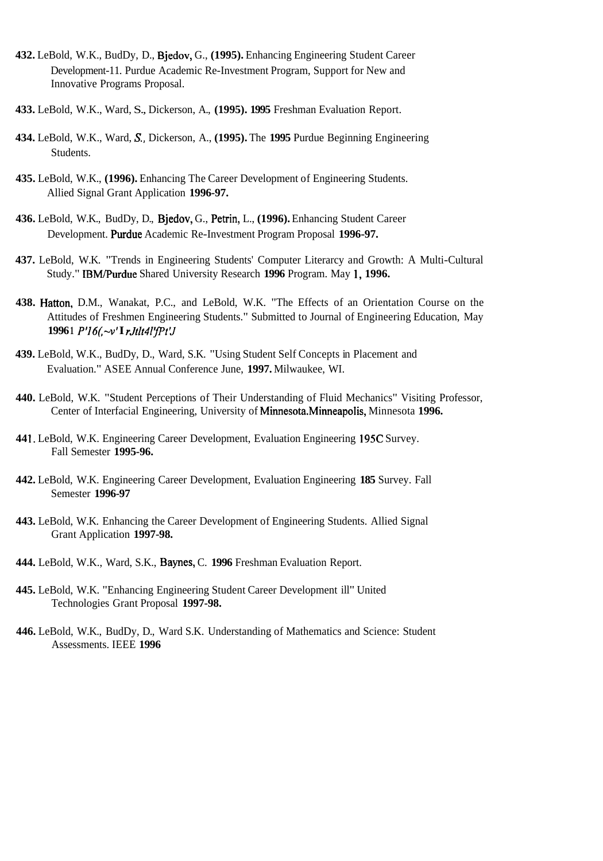- **432.** LeBold, W.K., BudDy, D., Bjedov, G., **(1995).** Enhancing Engineering Student Career Development-11. Purdue Academic Re-Investment Program, Support for New and Innovative Programs Proposal.
- **433.** LeBold, W.K., Ward, S., Dickerson, A., **(1995). 1995** Freshman Evaluation Report.
- **434.** LeBold, W.K., Ward, **S.,** Dickerson, A., **(1995).** The **1995** Purdue Beginning Engineering Students.
- **435.** LeBold, W.K., **(1996).** Enhancing The Career Development of Engineering Students. Allied Signal Grant Application **1996-97.**
- **436.** LeBold, W.K., BudDy, D., Bjedov, G., Petrin, L., **(1996).** Enhancing Student Career Development. Purdue Academic Re-Investment Program Proposal 1996-97.
- **437.** LeBold, W.K. "Trends in Engineering Students' Computer Literarcy and Growth: A Multi-Cultural Study." IBMPurdue Shared University Research **1996** Program. May **1, 1996.**
- **438.** Hatton, D.M., Wanakat, P.C., and LeBold, W.K. "The Effects of an Orientation Course on the Attitudes of Freshmen Engineering Students." Submitted to Journal of Engineering Education, May **1996 1** *P116(;-v'* **I** *rJtlt4lpt'J*
- **439.** LeBold, W.K., BudDy, D., Ward, S.K. "Using Student Self Concepts in Placement and Evaluation." ASEE Annual Conference June, **1997.** Milwaukee, WI.
- **440.** LeBold, W.K. "Student Perceptions of Their Understanding of Fluid Mechanics" Visiting Professor, Center of Interfacial Engineering, University of Minnesota.Minneapolis, Minnesota **1996.**
- **44 1.** LeBold, W.K. Engineering Career Development, Evaluation Engineering **195C** Survey. Fall Semester **1995-96.**
- **442.** LeBold, W.K. Engineering Career Development, Evaluation Engineering **185** Survey. Fall Semester **1996-97**
- **443.** LeBold, W.K. Enhancing the Career Development of Engineering Students. Allied Signal Grant Application **1997-98.**
- **444.** LeBold, W.K., Ward, S.K., Baynes, C. **1996** Freshman Evaluation Report.
- **445.** LeBold, W.K. "Enhancing Engineering Student Career Development ill" United Technologies Grant Proposal **1997-98.**
- **446.** LeBold, W.K., BudDy, D., Ward S.K. Understanding of Mathematics and Science: Student Assessments. IEEE **1996**